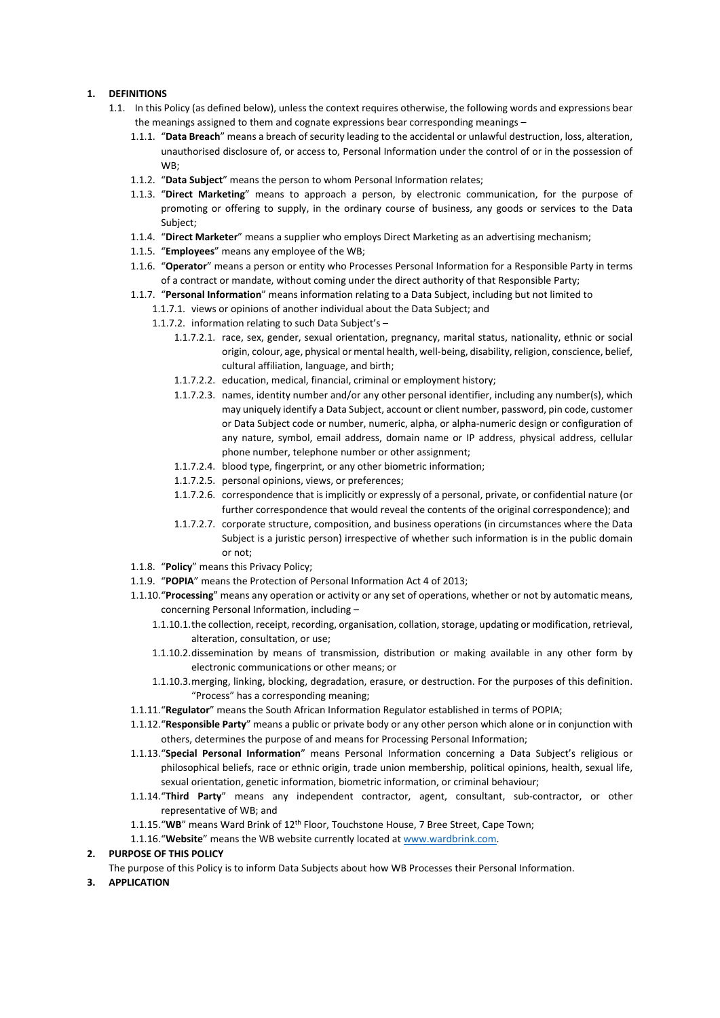## **1. DEFINITIONS**

- 1.1. In this Policy (as defined below), unless the context requires otherwise, the following words and expressions bear the meanings assigned to them and cognate expressions bear corresponding meanings –
	- 1.1.1. "**Data Breach**" means a breach of security leading to the accidental or unlawful destruction, loss, alteration, unauthorised disclosure of, or access to, Personal Information under the control of or in the possession of WB;
	- 1.1.2. "**Data Subject**" means the person to whom Personal Information relates;
	- 1.1.3. "**Direct Marketing**" means to approach a person, by electronic communication, for the purpose of promoting or offering to supply, in the ordinary course of business, any goods or services to the Data Subject;
	- 1.1.4. "**Direct Marketer**" means a supplier who employs Direct Marketing as an advertising mechanism;
	- 1.1.5. "**Employees**" means any employee of the WB;
	- 1.1.6. "**Operator**" means a person or entity who Processes Personal Information for a Responsible Party in terms of a contract or mandate, without coming under the direct authority of that Responsible Party;
	- 1.1.7. "**Personal Information**" means information relating to a Data Subject, including but not limited to
		- 1.1.7.1. views or opinions of another individual about the Data Subject; and
			- 1.1.7.2. information relating to such Data Subject's
				- 1.1.7.2.1. race, sex, gender, sexual orientation, pregnancy, marital status, nationality, ethnic or social origin, colour, age, physical or mental health, well-being, disability, religion, conscience, belief, cultural affiliation, language, and birth;
				- 1.1.7.2.2. education, medical, financial, criminal or employment history;
				- 1.1.7.2.3. names, identity number and/or any other personal identifier, including any number(s), which may uniquely identify a Data Subject, account or client number, password, pin code, customer or Data Subject code or number, numeric, alpha, or alpha-numeric design or configuration of any nature, symbol, email address, domain name or IP address, physical address, cellular phone number, telephone number or other assignment;
				- 1.1.7.2.4. blood type, fingerprint, or any other biometric information;
				- 1.1.7.2.5. personal opinions, views, or preferences;
				- 1.1.7.2.6. correspondence that is implicitly or expressly of a personal, private, or confidential nature (or further correspondence that would reveal the contents of the original correspondence); and
				- 1.1.7.2.7. corporate structure, composition, and business operations (in circumstances where the Data Subject is a juristic person) irrespective of whether such information is in the public domain or not;
	- 1.1.8. "**Policy**" means this Privacy Policy;
	- 1.1.9. "**POPIA**" means the Protection of Personal Information Act 4 of 2013;
	- 1.1.10."**Processing**" means any operation or activity or any set of operations, whether or not by automatic means, concerning Personal Information, including –
		- 1.1.10.1.the collection, receipt, recording, organisation, collation, storage, updating or modification, retrieval, alteration, consultation, or use;
		- 1.1.10.2.dissemination by means of transmission, distribution or making available in any other form by electronic communications or other means; or
		- 1.1.10.3.merging, linking, blocking, degradation, erasure, or destruction. For the purposes of this definition. "Process" has a corresponding meaning;
	- 1.1.11."**Regulator**" means the South African Information Regulator established in terms of POPIA;
	- 1.1.12."**Responsible Party**" means a public or private body or any other person which alone or in conjunction with others, determines the purpose of and means for Processing Personal Information;
	- 1.1.13."**Special Personal Information**" means Personal Information concerning a Data Subject's religious or philosophical beliefs, race or ethnic origin, trade union membership, political opinions, health, sexual life, sexual orientation, genetic information, biometric information, or criminal behaviour;
	- 1.1.14."**Third Party**" means any independent contractor, agent, consultant, sub-contractor, or other representative of WB; and
	- 1.1.15."**WB**" means Ward Brink of 12th Floor, Touchstone House, 7 Bree Street, Cape Town;
	- 1.1.16."**Website**" means the WB website currently located at [www.wardbrink.com.](http://www.wardbrink.com/)

#### **2. PURPOSE OF THIS POLICY**

- The purpose of this Policy is to inform Data Subjects about how WB Processes their Personal Information.
- **3. APPLICATION**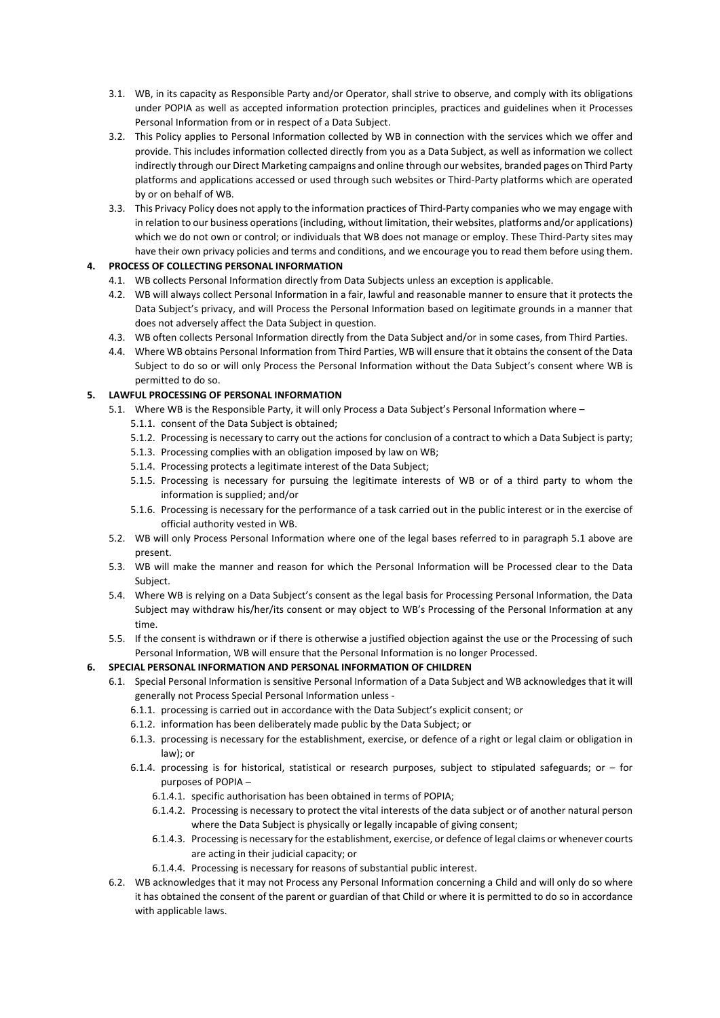- 3.1. WB, in its capacity as Responsible Party and/or Operator, shall strive to observe, and comply with its obligations under POPIA as well as accepted information protection principles, practices and guidelines when it Processes Personal Information from or in respect of a Data Subject.
- 3.2. This Policy applies to Personal Information collected by WB in connection with the services which we offer and provide. This includes information collected directly from you as a Data Subject, as well as information we collect indirectly through our Direct Marketing campaigns and online through our websites, branded pages on Third Party platforms and applications accessed or used through such websites or Third-Party platforms which are operated by or on behalf of WB.
- 3.3. This Privacy Policy does not apply to the information practices of Third-Party companies who we may engage with in relation to our business operations (including, without limitation, their websites, platforms and/or applications) which we do not own or control; or individuals that WB does not manage or employ. These Third-Party sites may have their own privacy policies and terms and conditions, and we encourage you to read them before using them.

# **4. PROCESS OF COLLECTING PERSONAL INFORMATION**

- 4.1. WB collects Personal Information directly from Data Subjects unless an exception is applicable.
- 4.2. WB will always collect Personal Information in a fair, lawful and reasonable manner to ensure that it protects the Data Subject's privacy, and will Process the Personal Information based on legitimate grounds in a manner that does not adversely affect the Data Subject in question.
- 4.3. WB often collects Personal Information directly from the Data Subject and/or in some cases, from Third Parties.
- 4.4. Where WB obtains Personal Information from Third Parties, WB will ensure that it obtains the consent of the Data Subject to do so or will only Process the Personal Information without the Data Subject's consent where WB is permitted to do so.

# **5. LAWFUL PROCESSING OF PERSONAL INFORMATION**

- 5.1. Where WB is the Responsible Party, it will only Process a Data Subject's Personal Information where
	- 5.1.1. consent of the Data Subject is obtained;
	- 5.1.2. Processing is necessary to carry out the actions for conclusion of a contract to which a Data Subject is party;
	- 5.1.3. Processing complies with an obligation imposed by law on WB;
	- 5.1.4. Processing protects a legitimate interest of the Data Subject;
	- 5.1.5. Processing is necessary for pursuing the legitimate interests of WB or of a third party to whom the information is supplied; and/or
	- 5.1.6. Processing is necessary for the performance of a task carried out in the public interest or in the exercise of official authority vested in WB.
- 5.2. WB will only Process Personal Information where one of the legal bases referred to in paragraph 5.1 above are present.
- 5.3. WB will make the manner and reason for which the Personal Information will be Processed clear to the Data Subject.
- 5.4. Where WB is relying on a Data Subject's consent as the legal basis for Processing Personal Information, the Data Subject may withdraw his/her/its consent or may object to WB's Processing of the Personal Information at any time.
- 5.5. If the consent is withdrawn or if there is otherwise a justified objection against the use or the Processing of such Personal Information, WB will ensure that the Personal Information is no longer Processed.

# **6. SPECIAL PERSONAL INFORMATION AND PERSONAL INFORMATION OF CHILDREN**

- 6.1. Special Personal Information is sensitive Personal Information of a Data Subject and WB acknowledges that it will generally not Process Special Personal Information unless -
	- 6.1.1. processing is carried out in accordance with the Data Subject's explicit consent; or
	- 6.1.2. information has been deliberately made public by the Data Subject; or
	- 6.1.3. processing is necessary for the establishment, exercise, or defence of a right or legal claim or obligation in law); or
	- 6.1.4. processing is for historical, statistical or research purposes, subject to stipulated safeguards; or for purposes of POPIA –
		- 6.1.4.1. specific authorisation has been obtained in terms of POPIA;
		- 6.1.4.2. Processing is necessary to protect the vital interests of the data subject or of another natural person where the Data Subject is physically or legally incapable of giving consent;
		- 6.1.4.3. Processing is necessary for the establishment, exercise, or defence of legal claims or whenever courts are acting in their judicial capacity; or
		- 6.1.4.4. Processing is necessary for reasons of substantial public interest.
- 6.2. WB acknowledges that it may not Process any Personal Information concerning a Child and will only do so where it has obtained the consent of the parent or guardian of that Child or where it is permitted to do so in accordance with applicable laws.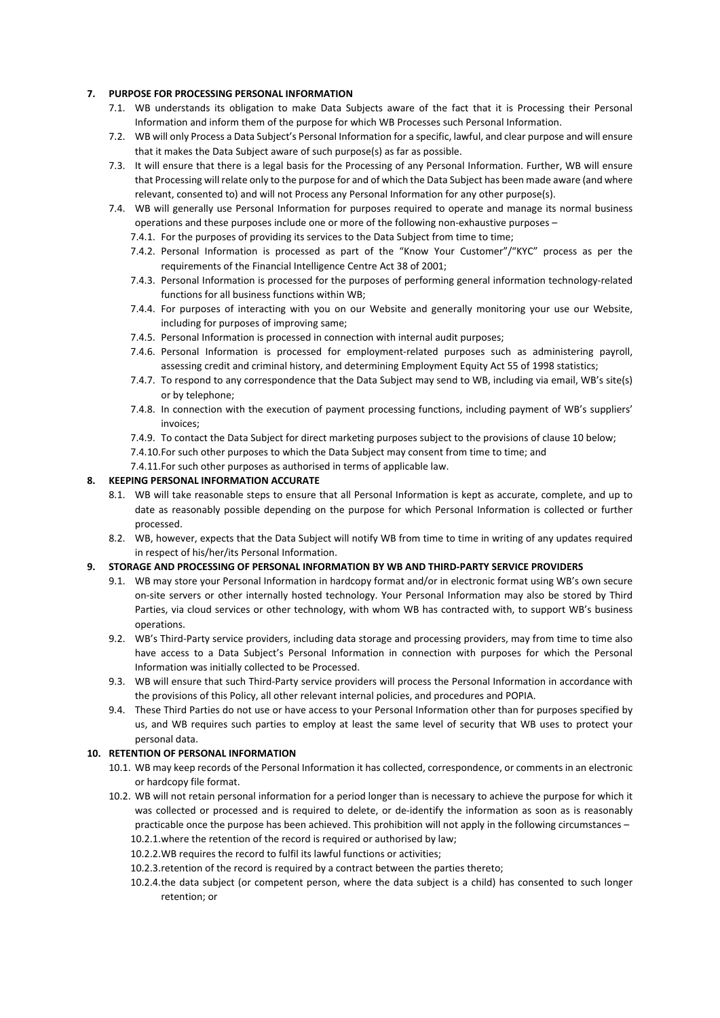# **7. PURPOSE FOR PROCESSING PERSONAL INFORMATION**

- 7.1. WB understands its obligation to make Data Subjects aware of the fact that it is Processing their Personal Information and inform them of the purpose for which WB Processes such Personal Information.
- 7.2. WB will only Process a Data Subject's Personal Information for a specific, lawful, and clear purpose and will ensure that it makes the Data Subject aware of such purpose(s) as far as possible.
- 7.3. It will ensure that there is a legal basis for the Processing of any Personal Information. Further, WB will ensure that Processing will relate only to the purpose for and of which the Data Subject has been made aware (and where relevant, consented to) and will not Process any Personal Information for any other purpose(s).
- 7.4. WB will generally use Personal Information for purposes required to operate and manage its normal business operations and these purposes include one or more of the following non-exhaustive purposes –
	- 7.4.1. For the purposes of providing its services to the Data Subject from time to time;
	- 7.4.2. Personal Information is processed as part of the "Know Your Customer"/"KYC" process as per the requirements of the Financial Intelligence Centre Act 38 of 2001;
	- 7.4.3. Personal Information is processed for the purposes of performing general information technology-related functions for all business functions within WB;
	- 7.4.4. For purposes of interacting with you on our Website and generally monitoring your use our Website, including for purposes of improving same;
	- 7.4.5. Personal Information is processed in connection with internal audit purposes;
	- 7.4.6. Personal Information is processed for employment-related purposes such as administering payroll, assessing credit and criminal history, and determining Employment Equity Act 55 of 1998 statistics;
	- 7.4.7. To respond to any correspondence that the Data Subject may send to WB, including via email, WB's site(s) or by telephone;
	- 7.4.8. In connection with the execution of payment processing functions, including payment of WB's suppliers' invoices;
	- 7.4.9. To contact the Data Subject for direct marketing purposes subject to the provisions of clause 10 below;
	- 7.4.10.For such other purposes to which the Data Subject may consent from time to time; and
	- 7.4.11.For such other purposes as authorised in terms of applicable law.

# **8. KEEPING PERSONAL INFORMATION ACCURATE**

- 8.1. WB will take reasonable steps to ensure that all Personal Information is kept as accurate, complete, and up to date as reasonably possible depending on the purpose for which Personal Information is collected or further processed.
- 8.2. WB, however, expects that the Data Subject will notify WB from time to time in writing of any updates required in respect of his/her/its Personal Information.

# **9. STORAGE AND PROCESSING OF PERSONAL INFORMATION BY WB AND THIRD-PARTY SERVICE PROVIDERS**

- 9.1. WB may store your Personal Information in hardcopy format and/or in electronic format using WB's own secure on-site servers or other internally hosted technology. Your Personal Information may also be stored by Third Parties, via cloud services or other technology, with whom WB has contracted with, to support WB's business operations.
- 9.2. WB's Third-Party service providers, including data storage and processing providers, may from time to time also have access to a Data Subject's Personal Information in connection with purposes for which the Personal Information was initially collected to be Processed.
- 9.3. WB will ensure that such Third-Party service providers will process the Personal Information in accordance with the provisions of this Policy, all other relevant internal policies, and procedures and POPIA.
- 9.4. These Third Parties do not use or have access to your Personal Information other than for purposes specified by us, and WB requires such parties to employ at least the same level of security that WB uses to protect your personal data.

# **10. RETENTION OF PERSONAL INFORMATION**

- 10.1. WB may keep records of the Personal Information it has collected, correspondence, or comments in an electronic or hardcopy file format.
- 10.2. WB will not retain personal information for a period longer than is necessary to achieve the purpose for which it was collected or processed and is required to delete, or de-identify the information as soon as is reasonably practicable once the purpose has been achieved. This prohibition will not apply in the following circumstances – 10.2.1.where the retention of the record is required or authorised by law;
	- 10.2.2.WB requires the record to fulfil its lawful functions or activities;
	- 10.2.3.retention of the record is required by a contract between the parties thereto;
	- 10.2.4.the data subject (or competent person, where the data subject is a child) has consented to such longer retention; or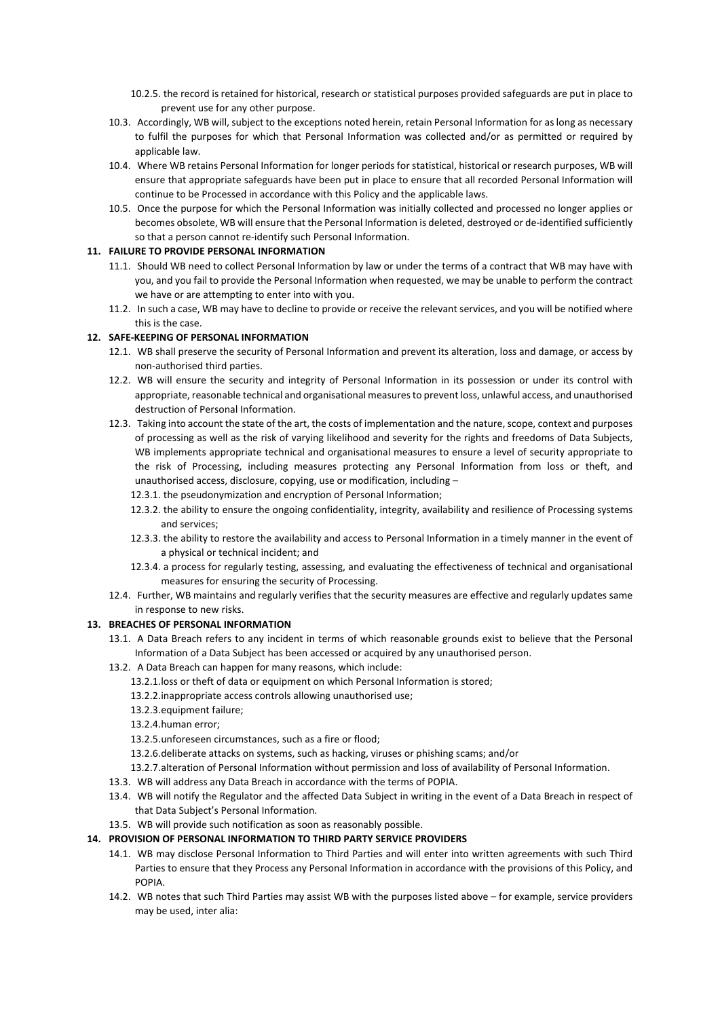- 10.2.5. the record is retained for historical, research or statistical purposes provided safeguards are put in place to prevent use for any other purpose.
- 10.3. Accordingly, WB will, subject to the exceptions noted herein, retain Personal Information for as long as necessary to fulfil the purposes for which that Personal Information was collected and/or as permitted or required by applicable law.
- 10.4. Where WB retains Personal Information for longer periods for statistical, historical or research purposes, WB will ensure that appropriate safeguards have been put in place to ensure that all recorded Personal Information will continue to be Processed in accordance with this Policy and the applicable laws.
- 10.5. Once the purpose for which the Personal Information was initially collected and processed no longer applies or becomes obsolete, WB will ensure that the Personal Information is deleted, destroyed or de-identified sufficiently so that a person cannot re-identify such Personal Information.

# **11. FAILURE TO PROVIDE PERSONAL INFORMATION**

- 11.1. Should WB need to collect Personal Information by law or under the terms of a contract that WB may have with you, and you fail to provide the Personal Information when requested, we may be unable to perform the contract we have or are attempting to enter into with you.
- 11.2. In such a case, WB may have to decline to provide or receive the relevant services, and you will be notified where this is the case.

# **12. SAFE-KEEPING OF PERSONAL INFORMATION**

- 12.1. WB shall preserve the security of Personal Information and prevent its alteration, loss and damage, or access by non-authorised third parties.
- 12.2. WB will ensure the security and integrity of Personal Information in its possession or under its control with appropriate, reasonable technical and organisational measures to prevent loss, unlawful access, and unauthorised destruction of Personal Information.
- 12.3. Taking into account the state of the art, the costs of implementation and the nature, scope, context and purposes of processing as well as the risk of varying likelihood and severity for the rights and freedoms of Data Subjects, WB implements appropriate technical and organisational measures to ensure a level of security appropriate to the risk of Processing, including measures protecting any Personal Information from loss or theft, and unauthorised access, disclosure, copying, use or modification, including –
	- 12.3.1. the pseudonymization and encryption of Personal Information;
	- 12.3.2. the ability to ensure the ongoing confidentiality, integrity, availability and resilience of Processing systems and services;
	- 12.3.3. the ability to restore the availability and access to Personal Information in a timely manner in the event of a physical or technical incident; and
	- 12.3.4. a process for regularly testing, assessing, and evaluating the effectiveness of technical and organisational measures for ensuring the security of Processing.
- 12.4. Further, WB maintains and regularly verifies that the security measures are effective and regularly updates same in response to new risks.

# **13. BREACHES OF PERSONAL INFORMATION**

- 13.1. A Data Breach refers to any incident in terms of which reasonable grounds exist to believe that the Personal Information of a Data Subject has been accessed or acquired by any unauthorised person.
- 13.2. A Data Breach can happen for many reasons, which include:
	- 13.2.1.loss or theft of data or equipment on which Personal Information is stored;
	- 13.2.2.inappropriate access controls allowing unauthorised use;
	- 13.2.3.equipment failure;
	- 13.2.4.human error;
	- 13.2.5.unforeseen circumstances, such as a fire or flood;
	- 13.2.6.deliberate attacks on systems, such as hacking, viruses or phishing scams; and/or
	- 13.2.7.alteration of Personal Information without permission and loss of availability of Personal Information.
- 13.3. WB will address any Data Breach in accordance with the terms of POPIA.
- 13.4. WB will notify the Regulator and the affected Data Subject in writing in the event of a Data Breach in respect of that Data Subject's Personal Information.
- 13.5. WB will provide such notification as soon as reasonably possible.

# **14. PROVISION OF PERSONAL INFORMATION TO THIRD PARTY SERVICE PROVIDERS**

- 14.1. WB may disclose Personal Information to Third Parties and will enter into written agreements with such Third Parties to ensure that they Process any Personal Information in accordance with the provisions of this Policy, and POPIA.
- 14.2. WB notes that such Third Parties may assist WB with the purposes listed above for example, service providers may be used, inter alia: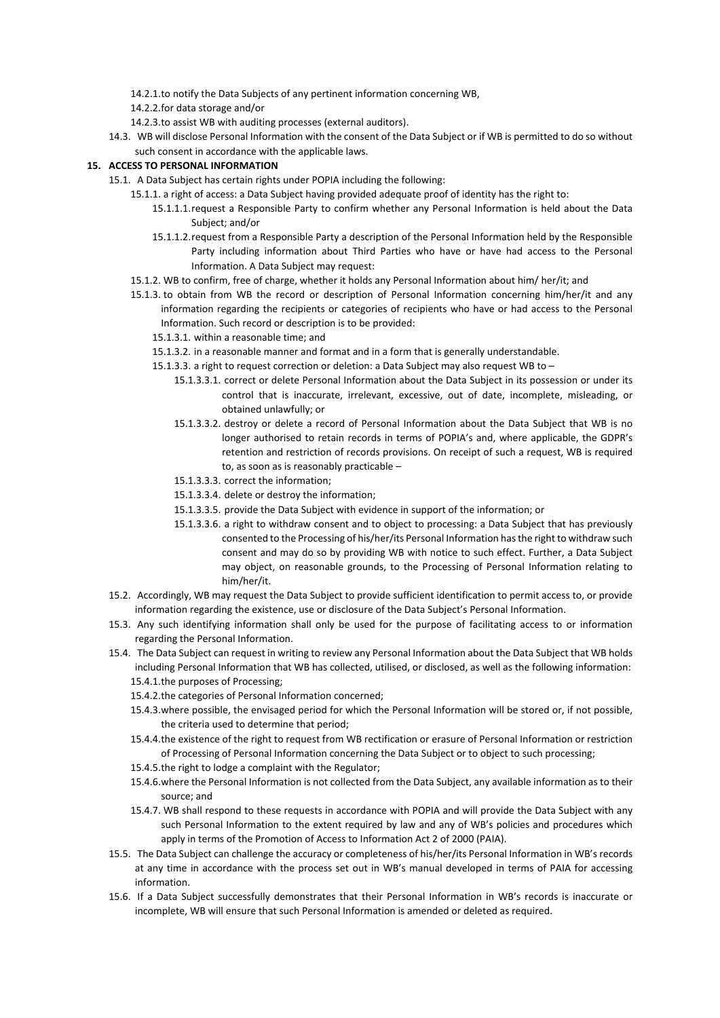- 14.2.1.to notify the Data Subjects of any pertinent information concerning WB,
- 14.2.2.for data storage and/or
- 14.2.3.to assist WB with auditing processes (external auditors).
- 14.3. WB will disclose Personal Information with the consent of the Data Subject or if WB is permitted to do so without such consent in accordance with the applicable laws.

### **15. ACCESS TO PERSONAL INFORMATION**

- 15.1. A Data Subject has certain rights under POPIA including the following:
	- 15.1.1. a right of access: a Data Subject having provided adequate proof of identity has the right to:
		- 15.1.1.1.request a Responsible Party to confirm whether any Personal Information is held about the Data Subject; and/or
		- 15.1.1.2.request from a Responsible Party a description of the Personal Information held by the Responsible Party including information about Third Parties who have or have had access to the Personal Information. A Data Subject may request:
	- 15.1.2. WB to confirm, free of charge, whether it holds any Personal Information about him/ her/it; and
	- 15.1.3. to obtain from WB the record or description of Personal Information concerning him/her/it and any information regarding the recipients or categories of recipients who have or had access to the Personal Information. Such record or description is to be provided:
		- 15.1.3.1. within a reasonable time; and
		- 15.1.3.2. in a reasonable manner and format and in a form that is generally understandable.
		- 15.1.3.3. a right to request correction or deletion: a Data Subject may also request WB to
			- 15.1.3.3.1. correct or delete Personal Information about the Data Subject in its possession or under its control that is inaccurate, irrelevant, excessive, out of date, incomplete, misleading, or obtained unlawfully; or
			- 15.1.3.3.2. destroy or delete a record of Personal Information about the Data Subject that WB is no longer authorised to retain records in terms of POPIA's and, where applicable, the GDPR's retention and restriction of records provisions. On receipt of such a request, WB is required to, as soon as is reasonably practicable –
			- 15.1.3.3.3. correct the information;
			- 15.1.3.3.4. delete or destroy the information;
			- 15.1.3.3.5. provide the Data Subject with evidence in support of the information; or
			- 15.1.3.3.6. a right to withdraw consent and to object to processing: a Data Subject that has previously consented to the Processing of his/her/its Personal Information has the right to withdraw such consent and may do so by providing WB with notice to such effect. Further, a Data Subject may object, on reasonable grounds, to the Processing of Personal Information relating to him/her/it.
- 15.2. Accordingly, WB may request the Data Subject to provide sufficient identification to permit access to, or provide information regarding the existence, use or disclosure of the Data Subject's Personal Information.
- 15.3. Any such identifying information shall only be used for the purpose of facilitating access to or information regarding the Personal Information.
- 15.4. The Data Subject can request in writing to review any Personal Information about the Data Subject that WB holds including Personal Information that WB has collected, utilised, or disclosed, as well as the following information: 15.4.1.the purposes of Processing;
	- 15.4.2.the categories of Personal Information concerned;
	- 15.4.3.where possible, the envisaged period for which the Personal Information will be stored or, if not possible, the criteria used to determine that period;
	- 15.4.4.the existence of the right to request from WB rectification or erasure of Personal Information or restriction of Processing of Personal Information concerning the Data Subject or to object to such processing;
	- 15.4.5.the right to lodge a complaint with the Regulator;
	- 15.4.6.where the Personal Information is not collected from the Data Subject, any available information as to their source; and
	- 15.4.7. WB shall respond to these requests in accordance with POPIA and will provide the Data Subject with any such Personal Information to the extent required by law and any of WB's policies and procedures which apply in terms of the Promotion of Access to Information Act 2 of 2000 (PAIA).
- 15.5. The Data Subject can challenge the accuracy or completeness of his/her/its Personal Information in WB's records at any time in accordance with the process set out in WB's manual developed in terms of PAIA for accessing information.
- 15.6. If a Data Subject successfully demonstrates that their Personal Information in WB's records is inaccurate or incomplete, WB will ensure that such Personal Information is amended or deleted as required.